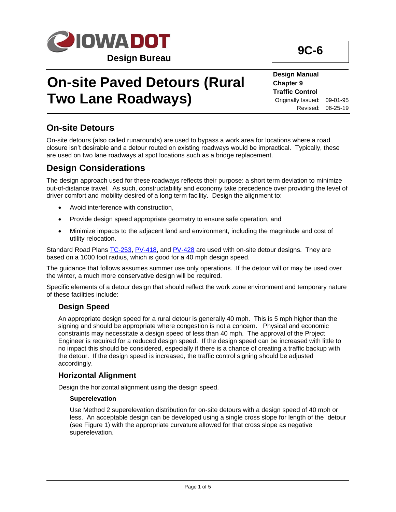

# **On-site Paved Detours (Rural Two Lane Roadways)**

#### **Design Manual Chapter 9 Traffic Control** Originally Issued: 09-01-95 Revised: 06-25-19

**9C-6**

**On-site Detours**

On-site detours (also called runarounds) are used to bypass a work area for locations where a road closure isn't desirable and a detour routed on existing roadways would be impractical. Typically, these are used on two lane roadways at spot locations such as a bridge replacement.

# **Design Considerations**

The design approach used for these roadways reflects their purpose: a short term deviation to minimize out-of-distance travel. As such, constructability and economy take precedence over providing the level of driver comfort and mobility desired of a long term facility. Design the alignment to:

- Avoid interference with construction,
- Provide design speed appropriate geometry to ensure safe operation, and
- Minimize impacts to the adjacent land and environment, including the magnitude and cost of utility relocation.

Standard Road Plans [TC-253,](../SRP/IndividualStandards/tc253.pdf) [PV-418,](../SRP/IndividualStandards/pv418.pdf) and [PV-428](../SRP/IndividualStandards/pv428.pdf) are used with on-site detour designs. They are based on a 1000 foot radius, which is good for a 40 mph design speed.

The guidance that follows assumes summer use only operations. If the detour will or may be used over the winter, a much more conservative design will be required.

Specific elements of a detour design that should reflect the work zone environment and temporary nature of these facilities include:

## **Design Speed**

An appropriate design speed for a rural detour is generally 40 mph. This is 5 mph higher than the signing and should be appropriate where congestion is not a concern. Physical and economic constraints may necessitate a design speed of less than 40 mph. The approval of the Project Engineer is required for a reduced design speed. If the design speed can be increased with little to no impact this should be considered, especially if there is a chance of creating a traffic backup with the detour. If the design speed is increased, the traffic control signing should be adjusted accordingly.

#### **Horizontal Alignment**

Design the horizontal alignment using the design speed.

#### **Superelevation**

Use Method 2 superelevation distribution for on-site detours with a design speed of 40 mph or less. An acceptable design can be developed using a single cross slope for length of the detour (see Figure 1) with the appropriate curvature allowed for that cross slope as negative superelevation.

Page 1 of 5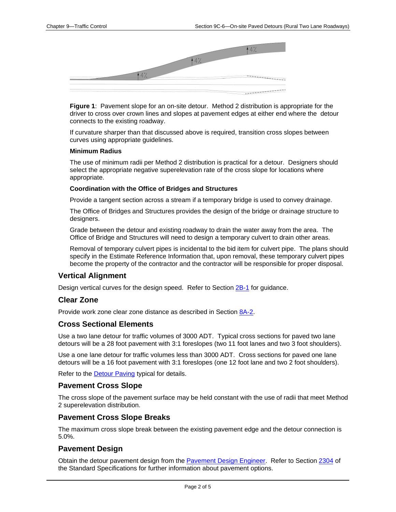

**Figure 1**: Pavement slope for an on-site detour. Method 2 distribution is appropriate for the driver to cross over crown lines and slopes at pavement edges at either end where the detour connects to the existing roadway.

If curvature sharper than that discussed above is required, transition cross slopes between curves using appropriate guidelines.

#### **Minimum Radius**

The use of minimum radii per Method 2 distribution is practical for a detour. Designers should select the appropriate negative superelevation rate of the cross slope for locations where appropriate.

#### **Coordination with the Office of Bridges and Structures**

Provide a tangent section across a stream if a temporary bridge is used to convey drainage.

The Office of Bridges and Structures provides the design of the bridge or drainage structure to designers.

Grade between the detour and existing roadway to drain the water away from the area. The Office of Bridge and Structures will need to design a temporary culvert to drain other areas.

Removal of temporary culvert pipes is incidental to the bid item for culvert pipe. The plans should specify in the Estimate Reference Information that, upon removal, these temporary culvert pipes become the property of the contractor and the contractor will be responsible for proper disposal.

#### **Vertical Alignment**

Design vertical curves for the design speed. Refer to Section [2B-1](02b-01.pdf) for guidance.

#### **Clear Zone**

Provide work zone clear zone distance as described in Section [8A-2.](08a-02.pdf)

#### **Cross Sectional Elements**

Use a two lane detour for traffic volumes of 3000 ADT. Typical cross sections for paved two lane detours will be a 28 foot pavement with 3:1 foreslopes (two 11 foot lanes and two 3 foot shoulders).

Use a one lane detour for traffic volumes less than 3000 ADT. Cross sections for paved one lane detours will be a 16 foot pavement with 3:1 foreslopes (one 12 foot lane and two 2 foot shoulders).

Refer to the **[Detour Paving](../tnt/PDFsandWebFiles/IndividualPDFs/Detour.pdf)** typical for details.

#### **Pavement Cross Slope**

The cross slope of the pavement surface may be held constant with the use of radii that meet Method 2 superelevation distribution.

#### **Pavement Cross Slope Breaks**

The maximum cross slope break between the existing pavement edge and the detour connection is 5.0%.

#### **Pavement Design**

Obtain the detour pavement design from the [Pavement Design Engineer.](01B-02/PavementDesignEngineer.pdf) Refer to Section [2304](../../erl/current/GS/content/2304.htm) of the Standard Specifications for further information about pavement options.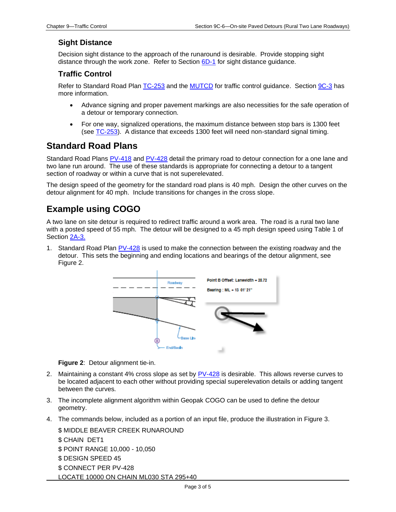### **Sight Distance**

Decision sight distance to the approach of the runaround is desirable. Provide stopping sight distance through the work zone. Refer to Section  $6D-1$  for sight distance guidance.

## **Traffic Control**

Refer to Standard Road Plan [TC-253](../SRP/IndividualStandards/tc253.pdf) and the [MUTCD](01b-01/MUTCD.pdf) for traffic control guidance. Section [9C-3](09c-03.pdf) has more information.

- Advance signing and proper pavement markings are also necessities for the safe operation of a detour or temporary connection.
- For one way, signalized operations, the maximum distance between stop bars is 1300 feet (see [TC-253\)](../SRP/IndividualStandards/tc253.pdf). A distance that exceeds 1300 feet will need non-standard signal timing.

## **Standard Road Plans**

Standard Road Plans [PV-418](../SRP/IndividualStandards/pv418.pdf) and [PV-428](../SRP/IndividualStandards/pv428.pdf) detail the primary road to detour connection for a one lane and two lane run around. The use of these standards is appropriate for connecting a detour to a tangent section of roadway or within a curve that is not superelevated.

The design speed of the geometry for the standard road plans is 40 mph. Design the other curves on the detour alignment for 40 mph. Include transitions for changes in the cross slope.

# **Example using COGO**

A two lane on site detour is required to redirect traffic around a work area. The road is a rural two lane with a posted speed of 55 mph. The detour will be designed to a 45 mph design speed using Table 1 of Section [2A-3.](02A-03.pdf)

1. Standard Road Plan  $PV-428$  is used to make the connection between the existing roadway and the detour. This sets the beginning and ending locations and bearings of the detour alignment, see Figure 2.



**Figure 2**: Detour alignment tie-in.

- 2. Maintaining a constant 4% cross slope as set by [PV-428](../SRP/IndividualStandards/pv428.pdf) is desirable. This allows reverse curves to be located adjacent to each other without providing special superelevation details or adding tangent between the curves.
- 3. The incomplete alignment algorithm within Geopak COGO can be used to define the detour geometry.
- 4. The commands below, included as a portion of an input file, produce the illustration in Figure 3.

\$ MIDDLE BEAVER CREEK RUNAROUND \$ CHAIN DET1 \$ POINT RANGE 10,000 - 10,050 \$ DESIGN SPEED 45 \$ CONNECT PER PV-428 LOCATE 10000 ON CHAIN ML030 STA 295+40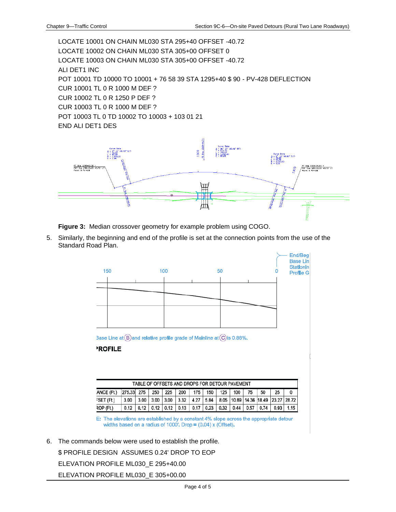LOCATE 10001 ON CHAIN ML030 STA 295+40 OFFSET -40.72 LOCATE 10002 ON CHAIN ML030 STA 305+00 OFFSET 0 LOCATE 10003 ON CHAIN ML030 STA 305+00 OFFSET -40.72 ALI DET1 INC POT 10001 TD 10000 TO 10001 + 76 58 39 STA 1295+40 \$ 90 - PV-428 DEFLECTION CUR 10001 TL 0 R 1000 M DEF ? CUR 10002 TL 0 R 1250 P DEF ? CUR 10003 TL 0 R 1000 M DEF ? POT 10003 TL 0 TD 10002 TO 10003 + 103 01 21 END ALI DET1 DES



**Figure 3:** Median crossover geometry for example problem using COGO.

5. Similarly, the beginning and end of the profile is set at the connection points from the use of the Standard Road Plan.



3ase Line at  $(B)$  and relative profile grade of Mainline at  $(C)$  is 0.88%.

#### **ROFILE**

| TABLE OF OFFSETS AND DROPS FOR DETOUR PAVEMENT |            |      |                  |     |      |                  |      |      |      |                                         |      |      |  |
|------------------------------------------------|------------|------|------------------|-----|------|------------------|------|------|------|-----------------------------------------|------|------|--|
| ANCE (Ft.)                                     | 275.33 275 |      | 250              | 225 | 200  | 175 <sub>1</sub> | 150  | 125  | 100  | 75                                      | 50   | 25   |  |
| FSET (Ft.)                                     | 3.00       | 3.00 | $3.00$ 3.00      |     | 3.32 | 4.27             |      |      |      | 5.84 8.05 10.89 14.36 18.49 23.27 28.72 |      |      |  |
| २OP (Ft.)                                      |            | 0.12 | $0.12 \mid 0.12$ |     | 0.13 | 0,17             | 0,23 | 0.32 | 0.44 | 0.57                                    | 0.74 | 0.93 |  |

E: The elevations are established by a constant 4% slope across the appropriate detour widths based on a radius of 1000'. Drop =  $(0.04)$  x (Offset).

6. The commands below were used to establish the profile.

\$ PROFILE DESIGN ASSUMES 0.24' DROP TO EOP

ELEVATION PROFILE ML030\_E 295+40.00

ELEVATION PROFILE ML030\_E 305+00.00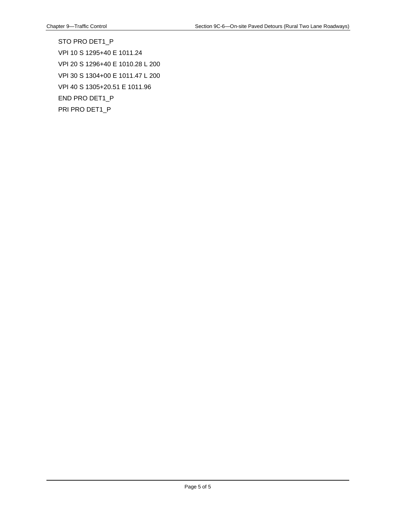STO PRO DET1\_P VPI 10 S 1295+40 E 1011.24 VPI 20 S 1296+40 E 1010.28 L 200 VPI 30 S 1304+00 E 1011.47 L 200 VPI 40 S 1305+20.51 E 1011.96 END PRO DET1\_P PRI PRO DET1\_P